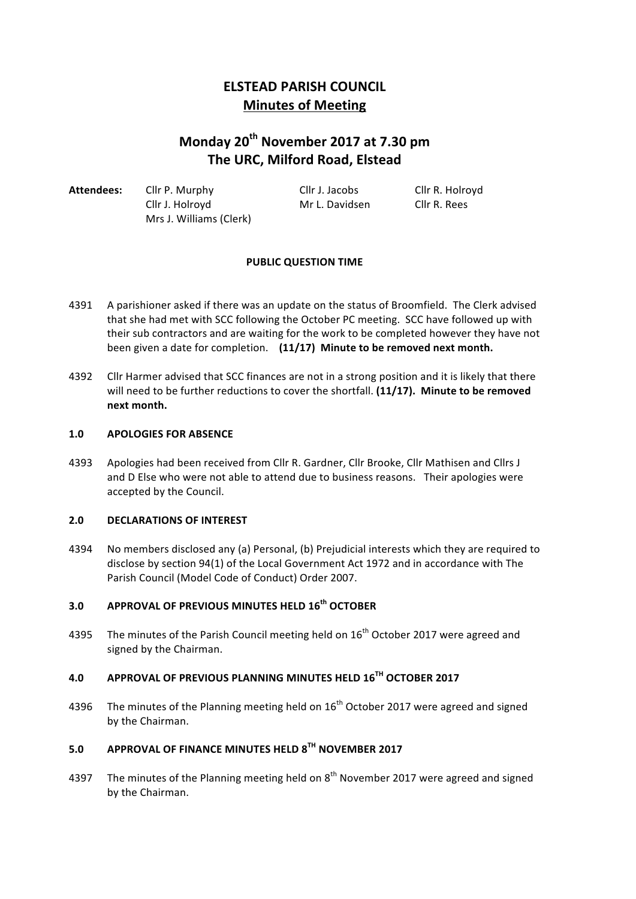## **ELSTEAD PARISH COUNCIL Minutes of Meeting**

# **Monday 20th November 2017 at 7.30 pm The URC, Milford Road, Elstead**

Attendees: Cllr P. Murphy Cllr J. Jacobs Cllr R. Holroyd Cllr J. Holroyd Mr L. Davidsen Cllr R. Rees Mrs J. Williams (Clerk)

## **PUBLIC QUESTION TIME**

- 4391 A parishioner asked if there was an update on the status of Broomfield. The Clerk advised that she had met with SCC following the October PC meeting. SCC have followed up with their sub contractors and are waiting for the work to be completed however they have not been given a date for completion. (11/17) Minute to be removed next month.
- 4392 Cllr Harmer advised that SCC finances are not in a strong position and it is likely that there will need to be further reductions to cover the shortfall. (11/17). Minute to be removed **next month.**

#### 1.0 **APOLOGIES FOR ABSENCE**

4393 Apologies had been received from Cllr R. Gardner, Cllr Brooke, Cllr Mathisen and Cllrs J and D Else who were not able to attend due to business reasons. Their apologies were accepted by the Council.

## **2.0 DECLARATIONS OF INTEREST**

4394 No members disclosed any (a) Personal, (b) Prejudicial interests which they are required to disclose by section 94(1) of the Local Government Act 1972 and in accordance with The Parish Council (Model Code of Conduct) Order 2007.

## **3.0 APPROVAL OF PREVIOUS MINUTES HELD 16th OCTOBER**

4395 The minutes of the Parish Council meeting held on  $16<sup>th</sup>$  October 2017 were agreed and signed by the Chairman.

## **4.0 APPROVAL OF PREVIOUS PLANNING MINUTES HELD 16TH OCTOBER 2017**

4396 The minutes of the Planning meeting held on  $16<sup>th</sup>$  October 2017 were agreed and signed by the Chairman.

## **5.0 APPROVAL OF FINANCE MINUTES HELD 8TH NOVEMBER 2017**

4397 The minutes of the Planning meeting held on  $8<sup>th</sup>$  November 2017 were agreed and signed by the Chairman.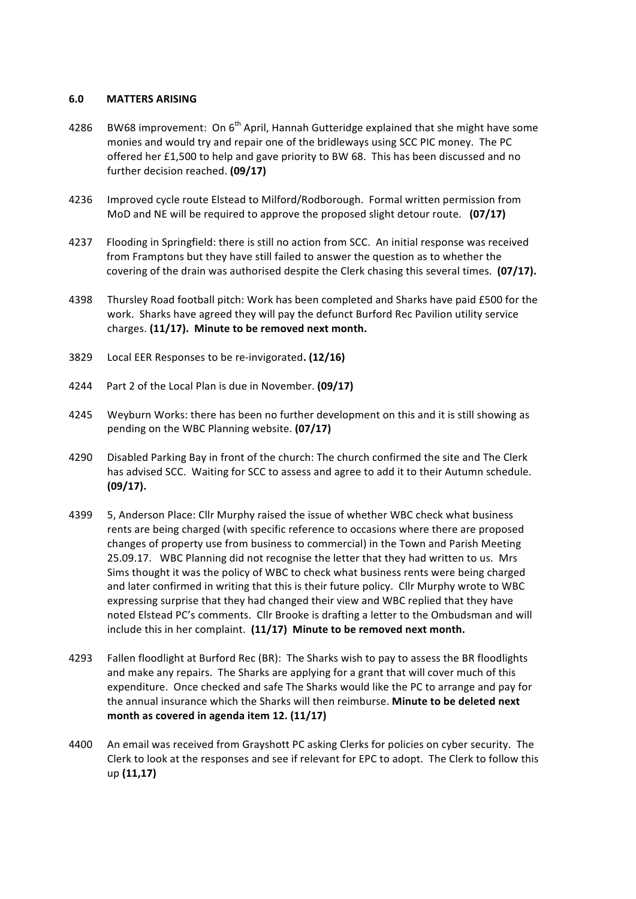#### **6.0 MATTERS ARISING**

- 4286 BW68 improvement: On  $6<sup>th</sup>$  April, Hannah Gutteridge explained that she might have some monies and would try and repair one of the bridleways using SCC PIC money. The PC offered her £1,500 to help and gave priority to BW 68. This has been discussed and no further decision reached. **(09/17)**
- 4236 Improved cycle route Elstead to Milford/Rodborough. Formal written permission from MoD and NE will be required to approve the proposed slight detour route. **(07/17)**
- 4237 Flooding in Springfield: there is still no action from SCC. An initial response was received from Framptons but they have still failed to answer the question as to whether the covering of the drain was authorised despite the Clerk chasing this several times. **(07/17).**
- 4398 Thursley Road football pitch: Work has been completed and Sharks have paid £500 for the work. Sharks have agreed they will pay the defunct Burford Rec Pavilion utility service charges. (11/17). Minute to be removed next month.
- 3829 Local EER Responses to be re-invigorated. (12/16)
- 4244 Part 2 of the Local Plan is due in November. **(09/17)**
- 4245 Weyburn Works: there has been no further development on this and it is still showing as pending on the WBC Planning website. (07/17)
- 4290 Disabled Parking Bay in front of the church: The church confirmed the site and The Clerk has advised SCC. Waiting for SCC to assess and agree to add it to their Autumn schedule. **(09/17).**
- 4399 5, Anderson Place: Cllr Murphy raised the issue of whether WBC check what business rents are being charged (with specific reference to occasions where there are proposed changes of property use from business to commercial) in the Town and Parish Meeting 25.09.17. WBC Planning did not recognise the letter that they had written to us. Mrs Sims thought it was the policy of WBC to check what business rents were being charged and later confirmed in writing that this is their future policy. Cllr Murphy wrote to WBC expressing surprise that they had changed their view and WBC replied that they have noted Elstead PC's comments. Cllr Brooke is drafting a letter to the Ombudsman and will include this in her complaint. (11/17) Minute to be removed next month.
- 4293 Fallen floodlight at Burford Rec (BR): The Sharks wish to pay to assess the BR floodlights and make any repairs. The Sharks are applying for a grant that will cover much of this expenditure. Once checked and safe The Sharks would like the PC to arrange and pay for the annual insurance which the Sharks will then reimburse. Minute to be deleted next month as covered in agenda item 12. (11/17)
- 4400 An email was received from Grayshott PC asking Clerks for policies on cyber security. The Clerk to look at the responses and see if relevant for EPC to adopt. The Clerk to follow this up **(11,17)**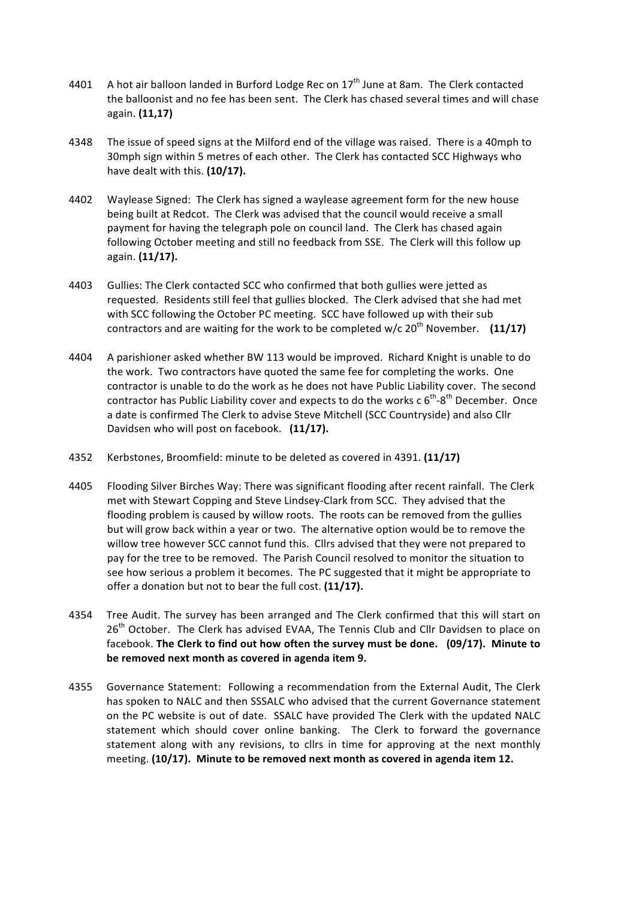- 4401 A hot air balloon landed in Burford Lodge Rec on  $17<sup>th</sup>$  June at 8am. The Clerk contacted the balloonist and no fee has been sent. The Clerk has chased several times and will chase again. **(11,17)**
- 4348 The issue of speed signs at the Milford end of the village was raised. There is a 40mph to 30mph sign within 5 metres of each other. The Clerk has contacted SCC Highways who have dealt with this. (10/17).
- 4402 Waylease Signed: The Clerk has signed a waylease agreement form for the new house being built at Redcot. The Clerk was advised that the council would receive a small payment for having the telegraph pole on council land. The Clerk has chased again following October meeting and still no feedback from SSE. The Clerk will this follow up again. **(11/17).**
- 4403 Gullies: The Clerk contacted SCC who confirmed that both gullies were jetted as requested. Residents still feel that gullies blocked. The Clerk advised that she had met with SCC following the October PC meeting. SCC have followed up with their sub contractors and are waiting for the work to be completed w/c  $20<sup>th</sup>$  November. (11/17)
- 4404 A parishioner asked whether BW 113 would be improved. Richard Knight is unable to do the work. Two contractors have quoted the same fee for completing the works. One contractor is unable to do the work as he does not have Public Liability cover. The second contractor has Public Liability cover and expects to do the works c  $6^{th}$ -8<sup>th</sup> December. Once a date is confirmed The Clerk to advise Steve Mitchell (SCC Countryside) and also Cllr Davidsen who will post on facebook. (11/17).
- 4352 Kerbstones, Broomfield: minute to be deleted as covered in 4391. (11/17)
- 4405 Flooding Silver Birches Way: There was significant flooding after recent rainfall. The Clerk met with Stewart Copping and Steve Lindsey-Clark from SCC. They advised that the flooding problem is caused by willow roots. The roots can be removed from the gullies but will grow back within a year or two. The alternative option would be to remove the willow tree however SCC cannot fund this. Cllrs advised that they were not prepared to pay for the tree to be removed. The Parish Council resolved to monitor the situation to see how serious a problem it becomes. The PC suggested that it might be appropriate to offer a donation but not to bear the full cost. (11/17).
- 4354 Tree Audit. The survey has been arranged and The Clerk confirmed that this will start on 26<sup>th</sup> October. The Clerk has advised EVAA, The Tennis Club and Cllr Davidsen to place on facebook. The Clerk to find out how often the survey must be done. (09/17). Minute to be removed next month as covered in agenda item 9.
- 4355 Governance Statement: Following a recommendation from the External Audit, The Clerk has spoken to NALC and then SSSALC who advised that the current Governance statement on the PC website is out of date. SSALC have provided The Clerk with the updated NALC statement which should cover online banking. The Clerk to forward the governance statement along with any revisions, to cllrs in time for approving at the next monthly meeting. (10/17). Minute to be removed next month as covered in agenda item 12.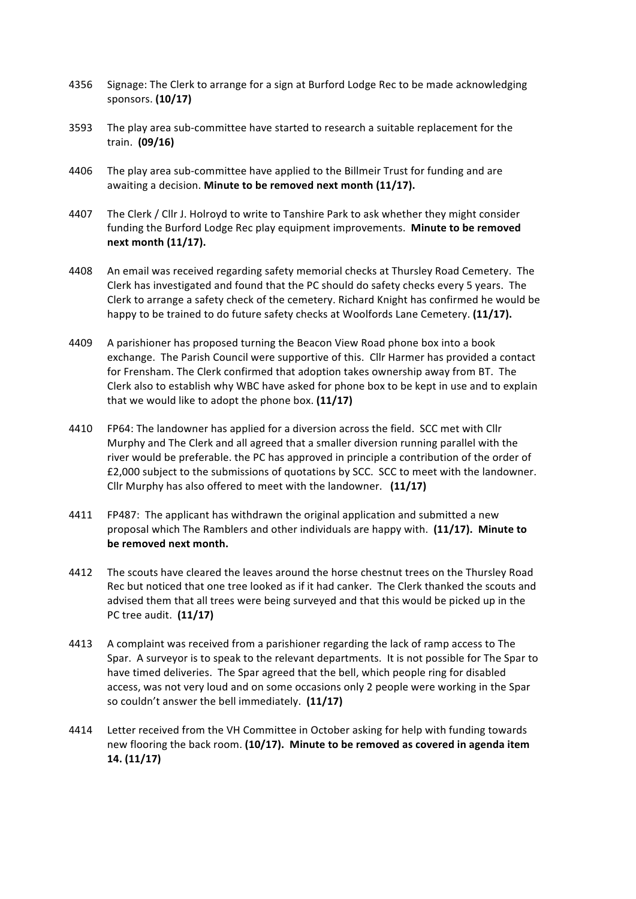- 4356 Signage: The Clerk to arrange for a sign at Burford Lodge Rec to be made acknowledging sponsors. **(10/17)**
- 3593 The play area sub-committee have started to research a suitable replacement for the train. **(09/16)**
- 4406 The play area sub-committee have applied to the Billmeir Trust for funding and are awaiting a decision. **Minute to be removed next month (11/17).**
- 4407 The Clerk / Cllr J. Holroyd to write to Tanshire Park to ask whether they might consider funding the Burford Lodge Rec play equipment improvements. **Minute to be removed next month (11/17).**
- 4408 An email was received regarding safety memorial checks at Thursley Road Cemetery. The Clerk has investigated and found that the PC should do safety checks every 5 years. The Clerk to arrange a safety check of the cemetery. Richard Knight has confirmed he would be happy to be trained to do future safety checks at Woolfords Lane Cemetery. **(11/17).**
- 4409 A parishioner has proposed turning the Beacon View Road phone box into a book exchange. The Parish Council were supportive of this. Cllr Harmer has provided a contact for Frensham. The Clerk confirmed that adoption takes ownership away from BT. The Clerk also to establish why WBC have asked for phone box to be kept in use and to explain that we would like to adopt the phone box. **(11/17)**
- 4410 FP64: The landowner has applied for a diversion across the field. SCC met with Cllr Murphy and The Clerk and all agreed that a smaller diversion running parallel with the river would be preferable. the PC has approved in principle a contribution of the order of £2,000 subject to the submissions of quotations by SCC. SCC to meet with the landowner. Cllr Murphy has also offered to meet with the landowner. **(11/17)**
- 4411 FP487: The applicant has withdrawn the original application and submitted a new proposal which The Ramblers and other individuals are happy with. (11/17). Minute to be removed next month.
- 4412 The scouts have cleared the leaves around the horse chestnut trees on the Thursley Road Rec but noticed that one tree looked as if it had canker. The Clerk thanked the scouts and advised them that all trees were being surveyed and that this would be picked up in the PC tree audit. **(11/17)**
- 4413 A complaint was received from a parishioner regarding the lack of ramp access to The Spar. A surveyor is to speak to the relevant departments. It is not possible for The Spar to have timed deliveries. The Spar agreed that the bell, which people ring for disabled access, was not very loud and on some occasions only 2 people were working in the Spar so couldn't answer the bell immediately. (11/17)
- 4414 Letter received from the VH Committee in October asking for help with funding towards new flooring the back room. (10/17). Minute to be removed as covered in agenda item **14. (11/17)**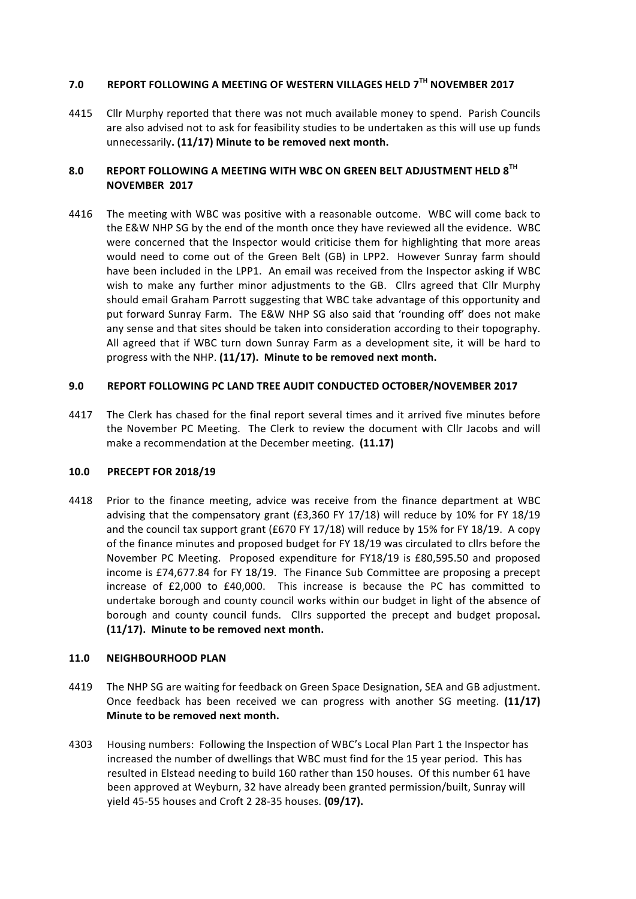## **7.0 REPORT FOLLOWING A MEETING OF WESTERN VILLAGES HELD 7TH NOVEMBER 2017**

4415 Cllr Murphy reported that there was not much available money to spend. Parish Councils are also advised not to ask for feasibility studies to be undertaken as this will use up funds unnecessarily. (11/17) Minute to be removed next month.

## **8.0 REPORT FOLLOWING A MEETING WITH WBC ON GREEN BELT ADJUSTMENT HELD 8TH NOVEMBER 2017**

4416 The meeting with WBC was positive with a reasonable outcome. WBC will come back to the E&W NHP SG by the end of the month once they have reviewed all the evidence. WBC were concerned that the Inspector would criticise them for highlighting that more areas would need to come out of the Green Belt (GB) in LPP2. However Sunray farm should have been included in the LPP1. An email was received from the Inspector asking if WBC wish to make any further minor adjustments to the GB. Cllrs agreed that Cllr Murphy should email Graham Parrott suggesting that WBC take advantage of this opportunity and put forward Sunray Farm. The E&W NHP SG also said that 'rounding off' does not make any sense and that sites should be taken into consideration according to their topography. All agreed that if WBC turn down Sunray Farm as a development site, it will be hard to progress with the NHP. (11/17). Minute to be removed next month.

#### **9.0 REPORT FOLLOWING PC LAND TREE AUDIT CONDUCTED OCTOBER/NOVEMBER 2017**

4417 The Clerk has chased for the final report several times and it arrived five minutes before the November PC Meeting. The Clerk to review the document with Cllr Jacobs and will make a recommendation at the December meeting. (11.17)

#### **10.0 PRECEPT FOR 2018/19**

4418 Prior to the finance meeting, advice was receive from the finance department at WBC advising that the compensatory grant  $(£3,360$  FY 17/18) will reduce by 10% for FY 18/19 and the council tax support grant (£670 FY 17/18) will reduce by 15% for FY 18/19. A copy of the finance minutes and proposed budget for FY 18/19 was circulated to cllrs before the November PC Meeting. Proposed expenditure for FY18/19 is £80,595.50 and proposed income is £74,677.84 for FY 18/19. The Finance Sub Committee are proposing a precept increase of  $£2,000$  to  $£40,000$ . This increase is because the PC has committed to undertake borough and county council works within our budget in light of the absence of borough and county council funds. Cllrs supported the precept and budget proposal. (11/17). Minute to be removed next month.

#### **11.0 NEIGHBOURHOOD PLAN**

- 4419 The NHP SG are waiting for feedback on Green Space Designation, SEA and GB adjustment. Once feedback has been received we can progress with another SG meeting. (11/17) **Minute to be removed next month.**
- 4303 Housing numbers: Following the Inspection of WBC's Local Plan Part 1 the Inspector has increased the number of dwellings that WBC must find for the 15 year period. This has resulted in Elstead needing to build 160 rather than 150 houses. Of this number 61 have been approved at Weyburn, 32 have already been granted permission/built, Sunray will yield 45-55 houses and Croft 2 28-35 houses. **(09/17).**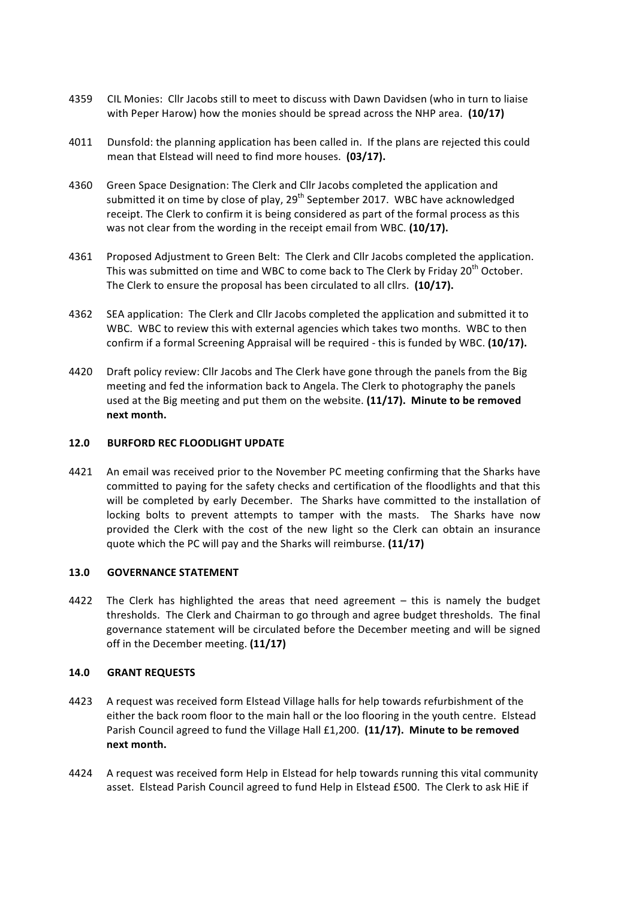- 4359 CIL Monies: Cllr Jacobs still to meet to discuss with Dawn Davidsen (who in turn to liaise with Peper Harow) how the monies should be spread across the NHP area. (10/17)
- 4011 Dunsfold: the planning application has been called in. If the plans are rejected this could mean that Elstead will need to find more houses. (03/17).
- 4360 Green Space Designation: The Clerk and Cllr Jacobs completed the application and submitted it on time by close of play, 29<sup>th</sup> September 2017. WBC have acknowledged receipt. The Clerk to confirm it is being considered as part of the formal process as this was not clear from the wording in the receipt email from WBC. (10/17).
- 4361 Proposed Adjustment to Green Belt: The Clerk and Cllr Jacobs completed the application. This was submitted on time and WBC to come back to The Clerk by Friday 20<sup>th</sup> October. The Clerk to ensure the proposal has been circulated to all cllrs. (10/17).
- 4362 SEA application: The Clerk and Cllr Jacobs completed the application and submitted it to WBC. WBC to review this with external agencies which takes two months. WBC to then confirm if a formal Screening Appraisal will be required - this is funded by WBC. (10/17).
- 4420 Draft policy review: Cllr Jacobs and The Clerk have gone through the panels from the Big meeting and fed the information back to Angela. The Clerk to photography the panels used at the Big meeting and put them on the website. (11/17). Minute to be removed **next month.**

#### **12.0 BURFORD REC FLOODLIGHT UPDATE**

4421 An email was received prior to the November PC meeting confirming that the Sharks have committed to paying for the safety checks and certification of the floodlights and that this will be completed by early December. The Sharks have committed to the installation of locking bolts to prevent attempts to tamper with the masts. The Sharks have now provided the Clerk with the cost of the new light so the Clerk can obtain an insurance quote which the PC will pay and the Sharks will reimburse. (11/17)

#### **13.0 GOVERNANCE STATEMENT**

4422 The Clerk has highlighted the areas that need agreement  $-$  this is namely the budget thresholds. The Clerk and Chairman to go through and agree budget thresholds. The final governance statement will be circulated before the December meeting and will be signed off in the December meeting. (11/17)

#### **14.0 GRANT REQUESTS**

- 4423 A request was received form Elstead Village halls for help towards refurbishment of the either the back room floor to the main hall or the loo flooring in the youth centre. Elstead Parish Council agreed to fund the Village Hall £1,200. (11/17). Minute to be removed **next month.**
- 4424 A request was received form Help in Elstead for help towards running this vital community asset. Elstead Parish Council agreed to fund Help in Elstead £500. The Clerk to ask HiE if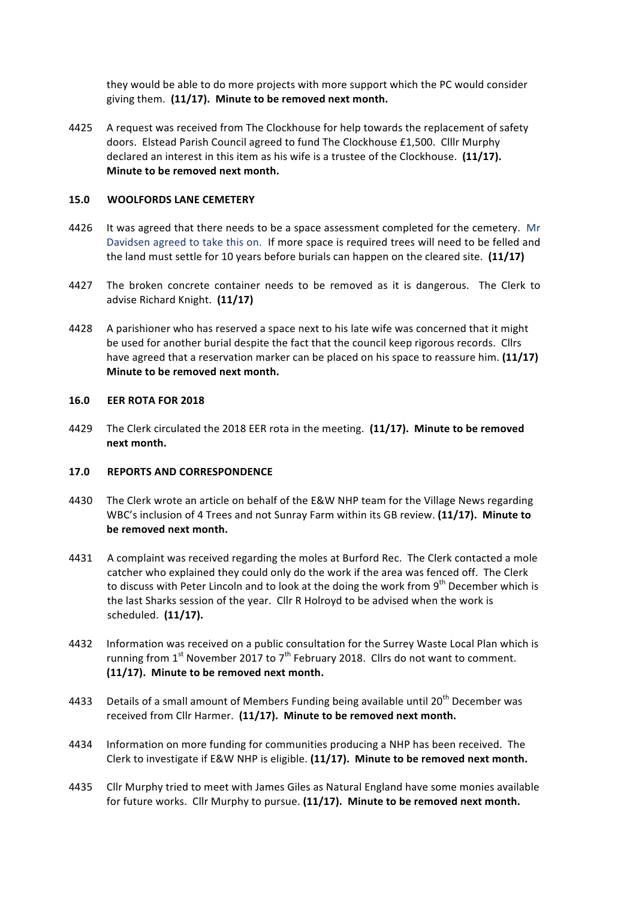they would be able to do more projects with more support which the PC would consider giving them. (11/17). Minute to be removed next month.

4425 A request was received from The Clockhouse for help towards the replacement of safety doors. Elstead Parish Council agreed to fund The Clockhouse £1,500. Clllr Murphy declared an interest in this item as his wife is a trustee of the Clockhouse. (11/17). **Minute to be removed next month.** 

#### **15.0 WOOLFORDS LANE CEMETERY**

- 4426 It was agreed that there needs to be a space assessment completed for the cemetery. Mr Davidsen agreed to take this on. If more space is required trees will need to be felled and the land must settle for 10 years before burials can happen on the cleared site. (11/17)
- 4427 The broken concrete container needs to be removed as it is dangerous. The Clerk to advise Richard Knight. (11/17)
- 4428 A parishioner who has reserved a space next to his late wife was concerned that it might be used for another burial despite the fact that the council keep rigorous records. Cllrs have agreed that a reservation marker can be placed on his space to reassure him. (11/17) **Minute to be removed next month.**

#### **16.0 EER ROTA FOR 2018**

4429 The Clerk circulated the 2018 EER rota in the meeting. (11/17). Minute to be removed **next month.**

#### 17.0 **REPORTS AND CORRESPONDENCE**

- 4430 The Clerk wrote an article on behalf of the E&W NHP team for the Village News regarding WBC's inclusion of 4 Trees and not Sunray Farm within its GB review. (11/17). Minute to be removed next month.
- 4431 A complaint was received regarding the moles at Burford Rec. The Clerk contacted a mole catcher who explained they could only do the work if the area was fenced off. The Clerk to discuss with Peter Lincoln and to look at the doing the work from  $9<sup>th</sup>$  December which is the last Sharks session of the year. Cllr R Holroyd to be advised when the work is scheduled. (11/17).
- 4432 Information was received on a public consultation for the Surrey Waste Local Plan which is running from  $1^{st}$  November 2017 to  $7^{th}$  February 2018. Cllrs do not want to comment. (11/17). Minute to be removed next month.
- 4433 Details of a small amount of Members Funding being available until  $20^{th}$  December was received from Cllr Harmer. (11/17). Minute to be removed next month.
- 4434 Information on more funding for communities producing a NHP has been received. The Clerk to investigate if E&W NHP is eligible. (11/17). Minute to be removed next month.
- 4435 Cllr Murphy tried to meet with James Giles as Natural England have some monies available for future works. Cllr Murphy to pursue. (11/17). Minute to be removed next month.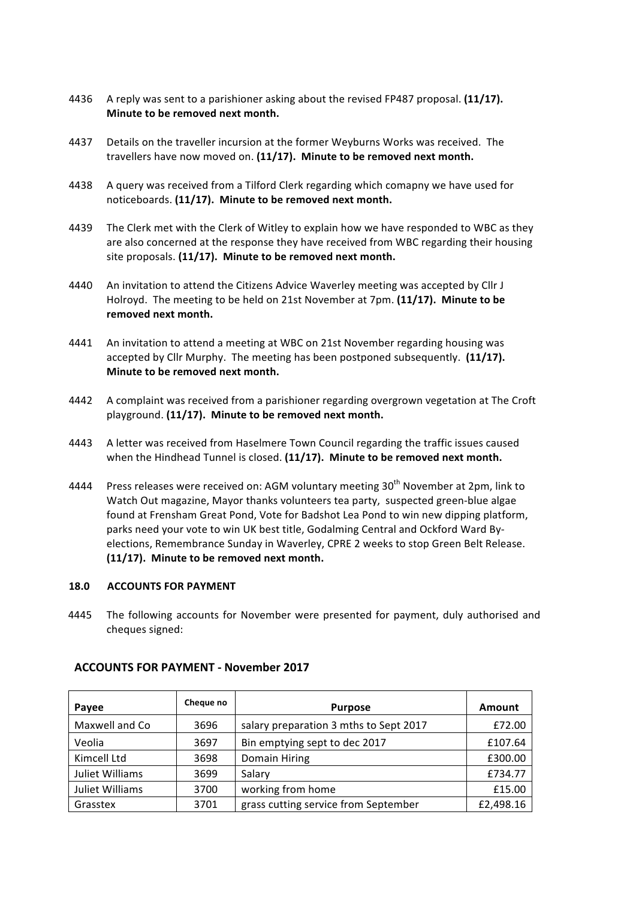- 4436 A reply was sent to a parishioner asking about the revised FP487 proposal. (11/17). **Minute to be removed next month.**
- 4437 Details on the traveller incursion at the former Weyburns Works was received. The travellers have now moved on. (11/17). Minute to be removed next month.
- 4438 A guery was received from a Tilford Clerk regarding which comapny we have used for noticeboards. (11/17). Minute to be removed next month.
- 4439 The Clerk met with the Clerk of Witley to explain how we have responded to WBC as they are also concerned at the response they have received from WBC regarding their housing site proposals. (11/17). Minute to be removed next month.
- 4440 An invitation to attend the Citizens Advice Waverley meeting was accepted by Cllr J Holroyd. The meeting to be held on 21st November at 7pm. (11/17). Minute to be removed next month.
- 4441 An invitation to attend a meeting at WBC on 21st November regarding housing was accepted by Cllr Murphy. The meeting has been postponed subsequently. (11/17). **Minute to be removed next month.**
- 4442 A complaint was received from a parishioner regarding overgrown vegetation at The Croft playground. (11/17). Minute to be removed next month.
- 4443 A letter was received from Haselmere Town Council regarding the traffic issues caused when the Hindhead Tunnel is closed. (11/17). Minute to be removed next month.
- 4444 Press releases were received on: AGM voluntary meeting  $30<sup>th</sup>$  November at 2pm, link to Watch Out magazine, Mayor thanks volunteers tea party, suspected green-blue algae found at Frensham Great Pond, Vote for Badshot Lea Pond to win new dipping platform, parks need your vote to win UK best title, Godalming Central and Ockford Ward Byelections, Remembrance Sunday in Waverley, CPRE 2 weeks to stop Green Belt Release. (11/17). Minute to be removed next month.

#### **18.0 ACCOUNTS FOR PAYMENT**

4445 The following accounts for November were presented for payment, duly authorised and cheques signed:

| Payee           | Cheque no | <b>Purpose</b>                         | Amount    |
|-----------------|-----------|----------------------------------------|-----------|
| Maxwell and Co  | 3696      | salary preparation 3 mths to Sept 2017 | £72.00    |
| Veolia          | 3697      | Bin emptying sept to dec 2017          | £107.64   |
| Kimcell Ltd     | 3698      | Domain Hiring                          | £300.00   |
| Juliet Williams | 3699      | Salary                                 | £734.77   |
| Juliet Williams | 3700      | working from home                      | £15.00    |
| Grasstex        | 3701      | grass cutting service from September   | £2,498.16 |

#### **ACCOUNTS FOR PAYMENT - November 2017**